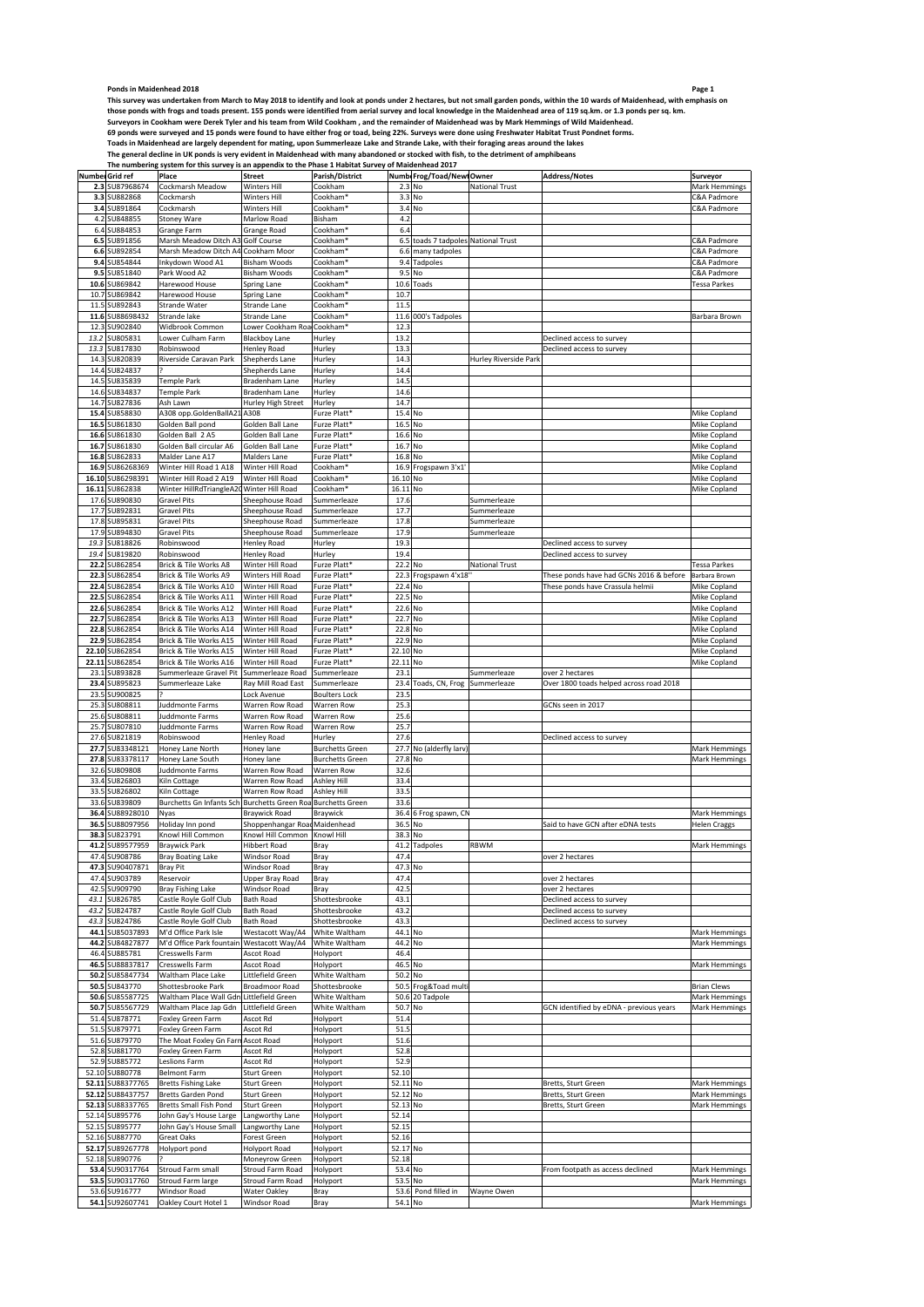Page 1<br>This survey was undertaken from March to May 2018 to identify and look at ponds under 2 hectares, but not small garden ponds, within the 10 wards of Maidenhead, with emphasis on<br>those ponds with frogs and toads pres

Toads in Maidenhead are largely dependent for mating, upon Summerleaze Lake and Strande Lake, with their foraging areas around the lakes<br>The general decline in UK ponds is very evident in Maidenhead with many abandoned or

| Number Grid ref     | Place                              | <b>Street</b>                 | Parish/District          |          | Numb Frog/Toad/NewtOwner        |                       | <b>Address/Notes</b>                    | Surveyor               |
|---------------------|------------------------------------|-------------------------------|--------------------------|----------|---------------------------------|-----------------------|-----------------------------------------|------------------------|
| 2.3 SU87968674      | Cockmarsh Meadow                   | Winters Hill                  | Cookham                  |          | 2.3 No                          | <b>National Trust</b> |                                         | Mark Hemmings          |
| 3.3<br>SU882868     | Cockmarsh                          | <b>Winters Hill</b>           | Cookham                  |          | 3.3 No                          |                       |                                         | C&A Padmore            |
| SU891864<br>3.4     | Cockmarsh                          | Winters Hill                  | Cookham'                 |          | 3.4 No                          |                       |                                         | C&A Padmore            |
| SU848855<br>4.2     | <b>Stoney Ware</b>                 | Marlow Road                   | Bisham                   | 4.2      |                                 |                       |                                         |                        |
| 6.4<br>SU884853     | Grange Farm                        | Grange Road                   | Cookham <sup>®</sup>     | 6.4      |                                 |                       |                                         |                        |
|                     |                                    |                               |                          |          |                                 |                       |                                         |                        |
| 6.5<br>U891856      | Marsh Meadow Ditch A3              | Golf Course                   | Cookham'                 | 6.5      | toads 7 tadpoles National Trust |                       |                                         | C&A Padmore            |
| SU892854<br>6.6     | Marsh Meadow Ditch A4 Cookham Moor |                               | Cookham*                 | 6.6      | many tadpoles                   |                       |                                         | C&A Padmore            |
| SU854844<br>9.4     | Inkydown Wood A1                   | <b>Bisham Woods</b>           | Cookham <sup>®</sup>     | 9.4      | Tadpoles                        |                       |                                         | <b>C&amp;A Padmore</b> |
| SU851840<br>9.5     | Park Wood A2                       | <b>Bisham Woods</b>           | Cookham <sup>*</sup>     | 9.5      | No                              |                       |                                         | C&A Padmore            |
| SU869842<br>10.6    | Harewood House                     | Spring Lane                   | Cookham*                 | 10.6     | Toads                           |                       |                                         | Tessa Parkes           |
| 10.7<br>SU869842    | Harewood House                     |                               | Cookham                  | 10.7     |                                 |                       |                                         |                        |
|                     |                                    | Spring Lane                   |                          |          |                                 |                       |                                         |                        |
| SU892843<br>11.5    | Strande Water                      | Strande Lane                  | Cookham                  | 11.5     |                                 |                       |                                         |                        |
| SU88698432<br>11.6  | Strande lake                       | Strande Lane                  | Cookham <sup>*</sup>     |          | 11.6 000's Tadpoles             |                       |                                         | Barbara Brown          |
| 12.3 SU902840       | Widbrook Common                    | Lower Cookham Roa Cookham*    |                          | 12.3     |                                 |                       |                                         |                        |
| SU805831<br>13.2    | Lower Culham Farm                  | <b>Blackboy Lane</b>          | Hurley                   | 13.2     |                                 |                       | Declined access to survey               |                        |
| 13.3<br>SU817830    | Robinswood                         | Henley Road                   | Hurley                   | 13.3     |                                 |                       | Declined access to survey               |                        |
|                     |                                    |                               |                          |          |                                 |                       |                                         |                        |
| 14.3<br>SU820839    | Riverside Caravan Park             | Shepherds Lane                | Hurley                   | 14.3     |                                 | Hurley Riverside Park |                                         |                        |
| 14.4<br>SU824837    |                                    | <b>Shepherds Lane</b>         | Hurley                   | 14.4     |                                 |                       |                                         |                        |
| 14.5<br>SU835839    | Temple Park                        | Bradenham Lane                | Hurley                   | 14.5     |                                 |                       |                                         |                        |
| 14.6<br>SU834837    | Temple Park                        | Bradenham Lane                | Hurley                   | 14.6     |                                 |                       |                                         |                        |
| SU827836<br>14.7    | Ash Lawn                           | <b>Hurley High Street</b>     | Hurley                   | 14.7     |                                 |                       |                                         |                        |
|                     |                                    |                               |                          |          |                                 |                       |                                         |                        |
| 15.4<br>SU858830    | A308 opp.GoldenBallA21             | A308                          | Furze Platt*             | 15.4 No  |                                 |                       |                                         | Mike Copland           |
| 16.5<br>SU861830    | Golden Ball pond                   | Golden Ball Lane              | Furze Platt*             |          | 16.5 No                         |                       |                                         | Mike Copland           |
| SU861830<br>16.6    | Golden Ball 2 A5                   | Golden Ball Lane              | Furze Platt*             | 16.6 No  |                                 |                       |                                         | Mike Copland           |
| 16.7<br>SU861830    | Golden Ball circular A6            | Golden Ball Lane              | Furze Platt <sup>*</sup> | 16.7 No  |                                 |                       |                                         | Mike Copland           |
| 16.8<br>SU862833    | Malder Lane A17                    | Malders Lane                  | Furze Platt*             | 16.8 No  |                                 |                       |                                         | Mike Copland           |
|                     |                                    |                               |                          |          |                                 |                       |                                         |                        |
| 16.9<br>SU86268369  | Winter Hill Road 1 A18             | Winter Hill Road              | Cookham <sup>®</sup>     | 16.9     | Frogspawn 3'x1                  |                       |                                         | Mike Copland           |
| 16.10<br>SU86298391 | Winter Hill Road 2 A19             | Winter Hill Road              | Cookham <sup>*</sup>     | 16.10 No |                                 |                       |                                         | Mike Copland           |
| SU862838<br>16.11   | Winter HillRdTriangleA20           | Winter Hill Road              | Cookham <sup>®</sup>     | 16.11 No |                                 |                       |                                         | Mike Copland           |
| 17.6<br>SU890830    | <b>Gravel Pits</b>                 | Sheephouse Road               | Summerleaze              | 17.6     |                                 | Summerleaze           |                                         |                        |
|                     |                                    |                               |                          |          |                                 |                       |                                         |                        |
| SU892831<br>17.7    | <b>Gravel Pits</b>                 | Sheephouse Road               | Summerleaze              | 17.7     |                                 | Summerleaze           |                                         |                        |
| SU895831<br>17.8    | <b>Gravel Pits</b>                 | Sheephouse Road               | Summerleaze              | 17.8     |                                 | Summerleaze           |                                         |                        |
| 17.9<br>SU894830    | <b>Gravel Pits</b>                 | Sheephouse Road               | Summerleaze              | 17.9     |                                 | Summerleaze           |                                         |                        |
| 19.3<br>SU818826    | Robinswood                         | Henley Road                   | Hurley                   | 19.3     |                                 |                       | Declined access to survey               |                        |
| SU819820<br>19.4    | Robinswood                         |                               | Hurley                   | 19.4     |                                 |                       | Declined access to survey               |                        |
|                     |                                    | Henley Road                   |                          |          |                                 |                       |                                         |                        |
| 22.2<br>SU862854    | Brick & Tile Works A8              | Winter Hill Road              | Furze Platt*             | 22.2     | No                              | <b>National Trust</b> |                                         | <b>Tessa Parkes</b>    |
| SU862854<br>22.3    | Brick & Tile Works A9              | Winters Hill Road             | Furze Platt*             |          | 22.3 Frogspawn 4'x18"           |                       | These ponds have had GCNs 2016 & before | Barbara Brown          |
| 22.4<br>SU862854    | Brick & Tile Works A10             | Winter Hill Road              | Furze Platt*             | 22.4     | No                              |                       | These ponds have Crassula helmii        | Mike Copland           |
| 22.5<br>SU862854    | Brick & Tile Works A11             | Winter Hill Road              | Furze Platt*             | 22.5     | No                              |                       |                                         | Mike Copland           |
| SU862854            |                                    |                               | Furze Platt*             |          |                                 |                       |                                         |                        |
| 22.6                | Brick & Tile Works A12             | Winter Hill Road              |                          | 22.6 No  |                                 |                       |                                         | Mike Copland           |
| 22.7<br>SU862854    | Brick & Tile Works A13             | Winter Hill Road              | Furze Platt*             | 22.7     | No                              |                       |                                         | Mike Copland           |
| 22.8<br>SU862854    | Brick & Tile Works A14             | Winter Hill Road              | Furze Platt <sup>*</sup> | 22.8 No  |                                 |                       |                                         | Mike Copland           |
| SU862854<br>22.9    | Brick & Tile Works A15             | Winter Hill Road              | Furze Platt*             | 22.9 No  |                                 |                       |                                         | Mike Copland           |
| 22.10<br>SU862854   | Brick & Tile Works A15             | Winter Hill Road              | Furze Platt*             | 22.10 No |                                 |                       |                                         | Mike Copland           |
|                     |                                    |                               |                          |          |                                 |                       |                                         |                        |
| 22.11<br>SU862854   | Brick & Tile Works A16             | Winter Hill Road              | Furze Platt*             | 22.11    | No                              |                       |                                         | Mike Copland           |
| SU893828<br>23.1    | Summerleaze Gravel Pit             | Summerleaze Road              | Summerleaze              | 23.1     |                                 |                       |                                         |                        |
|                     |                                    |                               |                          |          |                                 | Summerleaze           | over 2 hectares                         |                        |
| SU895823<br>23.4    | Summerleaze Lake                   | Ray Mill Road East            | Summerleaze              | 23.4     | Toads, CN, Frog                 | Summerleaze           | Over 1800 toads helped across road 2018 |                        |
|                     |                                    |                               |                          |          |                                 |                       |                                         |                        |
| SU900825<br>23.5    |                                    | Lock Avenue                   | <b>Boulters Lock</b>     | 23.5     |                                 |                       |                                         |                        |
| 25.3 SU808811       | Juddmonte Farms                    | Warren Row Road               | Warren Row               | 25.3     |                                 |                       | GCNs seen in 2017                       |                        |
| 25.6<br>SU808811    | <b>Juddmonte Farms</b>             | Warren Row Road               | Warren Row               | 25.6     |                                 |                       |                                         |                        |
| SU807810<br>25.7    | Juddmonte Farms                    | Warren Row Road               | Warren Row               | 25.7     |                                 |                       |                                         |                        |
|                     |                                    |                               |                          |          |                                 |                       |                                         |                        |
| SU821819<br>27.6    | Robinswood                         | <b>Henley Road</b>            | Hurley                   | 27.6     |                                 |                       | Declined access to survey               |                        |
| 27.7<br>SU83348121  | Honey Lane North                   | Honey lane                    | <b>Burchetts Green</b>   |          | 27.7 No (alderfly larv          |                       |                                         | Mark Hemmings          |
| SU83378117<br>27.8  | Honey Lane South                   | Honey lane                    | <b>Burchetts Green</b>   | 27.8 No  |                                 |                       |                                         | Mark Hemmings          |
| SU809808<br>32.6    | Juddmonte Farms                    | Warren Row Road               | Warren Row               | 32.6     |                                 |                       |                                         |                        |
| 33.4<br>SU826803    | Kiln Cottage                       | Warren Row Road               | Ashley Hill              | 33.4     |                                 |                       |                                         |                        |
|                     |                                    |                               |                          |          |                                 |                       |                                         |                        |
| SU826802<br>33.5    | Kiln Cottage                       | Warren Row Road               | Ashley Hill              | 33.5     |                                 |                       |                                         |                        |
| 33.6<br>SU839809    | Burchetts Gn Infants Sch           | <b>Burchetts Green Roa</b>    | <b>Burchetts Green</b>   | 33.6     |                                 |                       |                                         |                        |
| 36.4<br>SU88928010  | Nyas                               | <b>Braywick Road</b>          | Braywick                 |          | 36.4 6 Frog spawn, CN           |                       |                                         | Mark Hemmings          |
| SU88097956<br>36.5  | Holiday Inn pond                   | Shoppenhangar Road Maidenhead |                          | 36.5     | No                              |                       | Said to have GCN after eDNA tests       | <b>Helen Craggs</b>    |
| 38.3<br>SU823791    | Knowl Hill Common                  | Knowl Hill Common             | Knowl Hill               | 38.3     | No                              |                       |                                         |                        |
| SU89577959<br>41.2  | <b>Braywick Park</b>               | Hibbert Road                  | Bray                     | 41.2     | Tadpoles                        | <b>RBWM</b>           |                                         | Mark Hemmings          |
|                     |                                    |                               |                          |          |                                 |                       |                                         |                        |
| SU908786<br>47.4    | <b>Bray Boating Lake</b>           | <b>Windsor Road</b>           | Bray                     | 47.4     |                                 |                       | over 2 hectares                         |                        |
| 47.3 SU90407871     | <b>Bray Pit</b>                    | Windsor Road                  | Bray                     | 47.3 No  |                                 |                       |                                         |                        |
| 47.4 SU903789       | Reservoir                          | Upper Bray Road               | Bray                     | 47.4     |                                 |                       | over 2 hectares                         |                        |
| 42.5<br>SU909790    | Bray Fishing Lake                  | Windsor Road                  | Bray                     | 42.5     |                                 |                       | over 2 hectares                         |                        |
| SU826785<br>43.1    | Castle Royle Golf Club             | <b>Bath Road</b>              | Shottesbrooke            | 43.1     |                                 |                       | Declined access to survey               |                        |
|                     |                                    |                               |                          |          |                                 |                       |                                         |                        |
| SU824787<br>43.2    | Castle Royle Golf Club             | <b>Bath Road</b>              | Shottesbrooke            | 43.2     |                                 |                       | Declined access to survey               |                        |
| SU824786<br>43.3    | Castle Royle Golf Club             | <b>Bath Road</b>              | Shottesbrooke            | 43.3     |                                 |                       | Declined access to survey               |                        |
| SU85037893<br>44.1  | M'd Office Park Isle               | Westacott Way/A4              | White Waltham            | 44.1     | No                              |                       |                                         | Mark Hemmings          |
| 44.2 SU84827877     | M'd Office Park fountain           | Westacott Way/A4              | White Waltham            |          | 44.2 No                         |                       |                                         | Mark Hemmings          |
| SU885781<br>46.4    | Cresswells Farm                    | Ascot Road                    | Holyport                 | 46.4     |                                 |                       |                                         |                        |
|                     |                                    |                               |                          |          |                                 |                       |                                         |                        |
| 46.5<br>SU88837817  | Cresswells Farm                    | Ascot Road                    | Holyport                 | 46.5     | No                              |                       |                                         | Mark Hemmings          |
| SU85847734<br>50.2  | Waltham Place Lake                 | Littlefield Green             | White Waltham            | 50.2     | No                              |                       |                                         |                        |
| 50.5 SU843770       | Shottesbrooke Park                 | <b>Broadmoor Road</b>         | Shottesbrooke            |          | 50.5 Frog&Toad mult             |                       |                                         | <b>Brian Clews</b>     |
| SU85587725<br>50.6  | Waltham Place Wall Gdn             | Littlefield Green             | White Waltham            |          | 50.6 20 Tadpole                 |                       |                                         | Mark Hemmings          |
| SU85567729<br>50.7  | Waltham Place Jap Gdn              | Littlefield Green             | White Waltham            | 50.7     | No                              |                       | GCN identified by eDNA - previous years | Mark Hemmings          |
|                     |                                    |                               |                          |          |                                 |                       |                                         |                        |
| SU878771<br>51.4    | Foxley Green Farm                  | Ascot Rd                      | Holyport                 | 51.4     |                                 |                       |                                         |                        |
| 51.5<br>SU879771    | Foxley Green Farm                  | Ascot Rd                      | Holyport                 | 51.5     |                                 |                       |                                         |                        |
| 51.6<br>SU879770    | The Moat Foxley Gn Farn            | Ascot Road                    | Holyport                 | 51.6     |                                 |                       |                                         |                        |
| SU881770<br>52.8    | Foxley Green Farm                  | Ascot Rd                      | Holyport                 | 52.8     |                                 |                       |                                         |                        |
| 52.9 SU885772       | Leslions Farm                      | Ascot Rd                      |                          | 52.9     |                                 |                       |                                         |                        |
|                     |                                    |                               | Holyport                 |          |                                 |                       |                                         |                        |
| 52.10 SU880778      | <b>Belmont Farm</b>                | Sturt Green                   | Holyport                 | 52.10    |                                 |                       |                                         |                        |
| 52.11 SU88377765    | <b>Bretts Fishing Lake</b>         | Sturt Green                   | Holyport                 | 52.11 No |                                 |                       | Bretts, Sturt Green                     | Mark Hemmings          |
| 52.12<br>SU88437757 | Bretts Garden Pond                 | <b>Sturt Green</b>            | Holyport                 | 52.12 No |                                 |                       | Bretts, Sturt Green                     | Mark Hemmings          |
| 52.13<br>SU88337765 | Bretts Small Fish Pond             | Sturt Green                   | Holyport                 | 52.13 No |                                 |                       | Bretts, Sturt Green                     | Mark Hemmings          |
|                     |                                    |                               |                          |          |                                 |                       |                                         |                        |
| SU895776<br>52.14   | Iohn Gay's House Large             | Langworthy Lane               | Holyport                 | 52.14    |                                 |                       |                                         |                        |
| SU895777<br>52.15   | John Gay's House Small             | Langworthy Lane               | Holyport                 | 52.15    |                                 |                       |                                         |                        |
| 52.16 SU887770      | <b>Great Oaks</b>                  | Forest Green                  | Holyport                 | 52.16    |                                 |                       |                                         |                        |
| 52.17 SU89267778    | Holyport pond                      | <b>Holyport Road</b>          | Holyport                 | 52.17 No |                                 |                       |                                         |                        |
|                     |                                    |                               |                          |          |                                 |                       |                                         |                        |
| 52.18 SU890776      |                                    | Moneyrow Green                | Holyport                 | 52.18    |                                 |                       |                                         |                        |
| 53.4 SU90317764     | Stroud Farm small                  | Stroud Farm Road              | Holyport                 |          | 53.4 No                         |                       | From footpath as access declined        | Mark Hemmings          |
| 53.5 SU90317760     | Stroud Farm large                  | Stroud Farm Road              | Holyport                 | 53.5     | No                              |                       |                                         | Mark Hemmings          |
| SU916777<br>53.6    | Windsor Road                       | Water Oakley                  | Bray                     |          | 53.6 Pond filled in             | Wayne Owen            |                                         |                        |